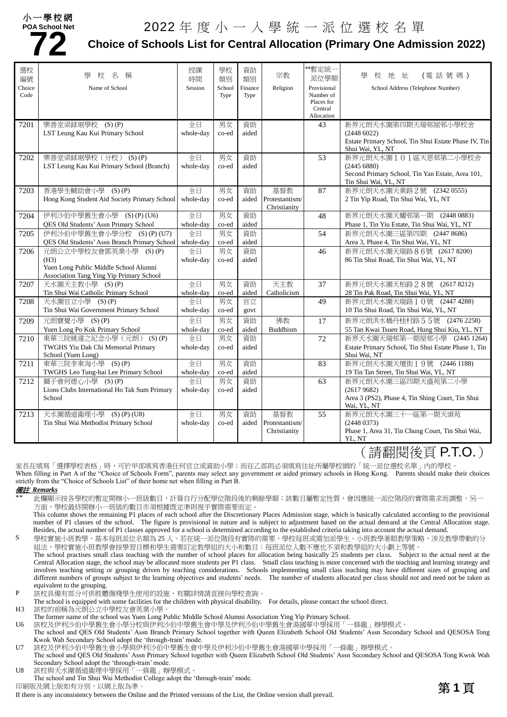#### 小一學校網 **POA School Net**



# pa school Net 2022 年 度 小 一 入 學 統 一 派 位 選 校 名 單<br><mark>7 2</mark> Choice of Schools List for Central Allocation (Primary One Admi

### **Choice of Schools List for Central Allocation (Primary One Admission 2022)**

| 選校<br>編號 | 校<br>名<br>稱                                              | 授課<br>時間  | 學校<br>類別              | 資助<br>類別 | 宗教                             | **暫定統-<br>派位學額          | 地址<br>(電話號碼)<br>學<br>校                                                   |
|----------|----------------------------------------------------------|-----------|-----------------------|----------|--------------------------------|-------------------------|--------------------------------------------------------------------------|
| Choice   | Name of School                                           | Session   | School                | Finance  | Religion                       | Provisional             | School Address (Telephone Number)                                        |
| Code     |                                                          |           | Type                  | Type     |                                | Number of<br>Places for |                                                                          |
|          |                                                          |           |                       |          |                                | Central                 |                                                                          |
|          |                                                          |           |                       |          |                                | Allocation              |                                                                          |
| 7201     | 樂善堂梁銶琚學校 (S)(P)                                          | 全日        | 男女                    | 資助       |                                | 43                      | 新界元朗天水圍第四期天瑞邨屋邨小學校舍                                                      |
|          | LST Leung Kau Kui Primary School                         | whole-day | co-ed                 | aided    |                                |                         | (24486022)                                                               |
|          |                                                          |           |                       |          |                                |                         | Estate Primary School, Tin Shui Estate Phase IV, Tin<br>Shui Wai, YL, NT |
| 7202     | 樂善堂梁銶琚學校(分校) (S)(P)                                      | 全日        | 男女                    | 資助       |                                | 53                      | 新界元朗天水圍101區天恩邨第二小學校舍                                                     |
|          | LST Leung Kau Kui Primary School (Branch)                | whole-day | co-ed                 | aided    |                                |                         | (2445 6880)                                                              |
|          |                                                          |           |                       |          |                                |                         | Second Primary School, Tin Yan Estate, Area 101,                         |
|          |                                                          |           |                       |          |                                |                         | Tin Shui Wai, YL, NT                                                     |
| 7203     | 香港學生輔助會小學 (S)(P)                                         | 全日        | 男女                    | 資助       | 基督教                            | 87                      | 新界元朗天水圍天業路 2號 (2342 0555)                                                |
|          | Hong Kong Student Aid Society Primary School             | whole-day | co-ed                 | aided    | Protestantism/                 |                         | 2 Tin Yip Road, Tin Shui Wai, YL, NT                                     |
| 7204     | 伊利沙伯中學舊生會小學 (S) (P) (U6)                                 | 全日        | 男女                    | 資助       | Christianity                   | 48                      | 新界元朗天水圍天耀邨第一期<br>(24480883)                                              |
|          | QES Old Students' Assn Primary School                    | whole-day | co-ed                 | aided    |                                |                         | Phase 1, Tin Yiu Estate, Tin Shui Wai, YL, NT                            |
| 7205     | 伊利沙伯中學舊生會小學分校 (S) (P) (U7)                               | 全日        | 男女                    | 資助       |                                | 54                      | 新界元朗天水圍三區第四期 (2447 8686)                                                 |
|          | QES Old Students' Assn Branch Primary School             | whole-day | co-ed                 | aided    |                                |                         | Area 3, Phase 4, Tin Shui Wai, YL, NT                                    |
| 7206     | 元朗公立中學校友會鄧英業小學 (S) (P)                                   | 全日        | 男女                    | 資助       |                                | 46                      | 新界元朗天水圍天瑞路86號 (2617 8200)                                                |
|          | (H3)                                                     | whole-day | co-ed                 | aided    |                                |                         | 86 Tin Shui Road, Tin Shui Wai, YL, NT                                   |
|          | Yuen Long Public Middle School Alumni                    |           |                       |          |                                |                         |                                                                          |
|          | Association Tang Ying Yip Primary School                 |           |                       |          |                                |                         |                                                                          |
| 7207     | 天水圍天主教小學 (S)(P)                                          | 全日        | 男女                    | 資助       | 天主教                            | 37                      | 新界元朗天水圍天柏路28號 (2617 8212)                                                |
|          | Tin Shui Wai Catholic Primary School                     | whole-day | $_{\rm co\text{-}ed}$ | aided    | Catholicism                    |                         | 28 Tin Pak Road, Tin Shui Wai, YL, NT                                    |
| 7208     | 天水圍官立小學 (S)(P)                                           | 全日        | 男女                    | 官立       |                                | 49                      | 新界元朗天水圍天瑞路10號 (2447 4288)                                                |
|          | Tin Shui Wai Government Primary School                   | whole-day | co-ed                 | govt     |                                |                         | 10 Tin Shui Road, Tin Shui Wai, YL, NT                                   |
| 7209     | 元朗寶覺小學 (S)(P)                                            | 全日        | 男女                    | 資助       | 佛教                             | 17                      | 新界元朗洪水橋丹桂村路55號 (2476 2258)                                               |
|          | Yuen Long Po Kok Primary School                          | whole-day | co-ed                 | aided    | Buddhism                       |                         | 55 Tan Kwai Tsuen Road, Hung Shui Kiu, YL, NT                            |
| 7210     | 東華三院姚達之紀念小學 (元朗) (S) (P)                                 | 全日        | 男女                    | 資助       |                                | 72                      | 新界天水圍天瑞邨第一期屋邨小學 (2445 1264)                                              |
|          | TWGHS Yiu Dak Chi Memorial Primary<br>School (Yuen Long) | whole-day | co-ed                 | aided    |                                |                         | Estate Primary School, Tin Shui Estate Phase 1, Tin<br>Shui Wai, NT      |
| 7211     | 東華三院李東海小學 (S)(P)                                         | 全日        | 男女                    | 資助       |                                | 83                      | 新界元朗天水圍天壇街19號 (24461188)                                                 |
|          | TWGHS Leo Tung-hai Lee Primary School                    | whole-day | co-ed                 | aided    |                                |                         | 19 Tin Tan Street, Tin Shui Wai, YL, NT                                  |
| 7212     | 獅子會何德心小學 (S)(P)                                          | 全日        | 男女                    | 資助       |                                | 63                      | 新界元朗天水圍三區四期天盛苑第二小學                                                       |
|          | Lions Clubs International Ho Tak Sum Primary             | whole-day | co-ed                 | aided    |                                |                         | (26179682)                                                               |
|          | School                                                   |           |                       |          |                                |                         | Area 3 (PS2), Phase 4, Tin Shing Court, Tin Shui                         |
|          |                                                          |           |                       |          |                                |                         | Wai, YL, NT                                                              |
| 7213     | 天水圍循道衞理小學 (S)(P)(U8)                                     | 全日        | 男女                    | 資助       | 基督教                            | 55                      | 新界元朗天水圍三十一區第一期天頌苑                                                        |
|          | Tin Shui Wai Methodist Primary School                    | whole-day | co-ed                 | aided    | Protestantism/<br>Christianity |                         | (24480373)<br>Phase 1, Area 31, Tin Chung Court, Tin Shui Wai,           |
|          |                                                          |           |                       |          |                                |                         | YL, NT                                                                   |
|          |                                                          |           |                       |          |                                |                         |                                                                          |

(請翻閱後頁 P.T.O.)

家長在填寫「選擇學校表格」時,可於甲部填寫香港任何官立或資助小學;而在乙部則必須填寫住址所屬學校網的「統一派位選校名單」內的學校。 When filling in Part A of the "Choice of Schools Form", parents may select any government or aided primary schools in Hong Kong. Parents should make their choices strictly from the "Choice of Schools List" of their home net when filling in Part B.

#### 備註 *Remarks*

此欄顯示按各學校的暫定開辦小一班級數目,計算自行分配學位階段後的剩餘學額;該數目屬暫定性質,會因應統一派位階段的實際需求而調整。另一 方面,學校最終開辦小一班級的數目亦須根據既定準則視乎實際需要而定。

This column shows the remaining P1 places of each school after the Discretionary Places Admission stage, which is basically calculated according to the provisional number of P1 classes of the school. The figure is provisional in nature and is subject to adjustment based on the actual demand at the Central Allocation stage. Besides, the actual number of P1 classes approved for a school is determined according to the established criteria taking into account the actual demand.

S 學校實施小班教學,基本每班派位名額為 25 人。若在統一派位階段有實際的需要,學校每班或需加派學生。小班教學著眼教學策略,涉及教學帶動的分 組法,學校實施小班教學會按學習目標和學生需要訂定教學組的大小和數目;每班派位人數不應也不須和教學組的大小劃上等號。 The school practises small class teaching with the number of school places for allocation being basically 25 students per class. Subject to the actual need at the Central Allocation stage, the school may be allocated more students per P1 class. Small class teaching is more concerned with the teaching and learning strategy and involves teaching setting or grouping driven by teaching considerations. Schools implementing small class teaching may have different sizes of grouping and different numbers of groups subject to the learning objectives and students' needs. The number of students allocated per class should not and need not be taken as

P 該校具備有部分可供肢體傷殘學生使用的設施,有關詳情請直接向學校查詢。

The school is equipped with some facilities for the children with physical disability. For details, please contact the school direct.

H3 該校的前稱為元朗公立中學校友會英業小學

equivalent to the grouping.

The former name of the school was Yuen Long Public Middle School Alumni Association Ying Yip Primary School.

U6 該校及伊利沙伯中學舊生會小學分校與伊利沙伯中學舊生會中學及伊利沙伯中學舊生會湯國華中學採用「一條龍」辦學模式。

The school and QES Old Students' Assn Branch Primary School together with Queen Elizabeth School Old Students' Assn Secondary School and QESOSA Tong Kwok Wah Secondary School adopt the 'through-train' mode.

U7 該校及伊利沙伯中學舊生會小學與伊利沙伯中學舊生會中學及伊利沙伯中學舊生會湯國華中學採用「一條龍」辦學模式。

The school and QES Old Students' Assn Primary School together with Queen Elizabeth School Old Students' Assn Secondary School and QESOSA Tong Kwok Wah Secondary School adopt the 'through-train' mode.

U8 該校與天水圍循道衞理中學採用「一條龍」辦學模式。

The school and Tin Shui Wai Methodist College adopt the 'through-train' mode.

印刷版及網上版如有分別,以網上版為準。

印刷版及網上版如有分別,以網上版為準。<br>If there is any inconsistency between the Online and the Printed versions of the List, the Online version shall prevail.